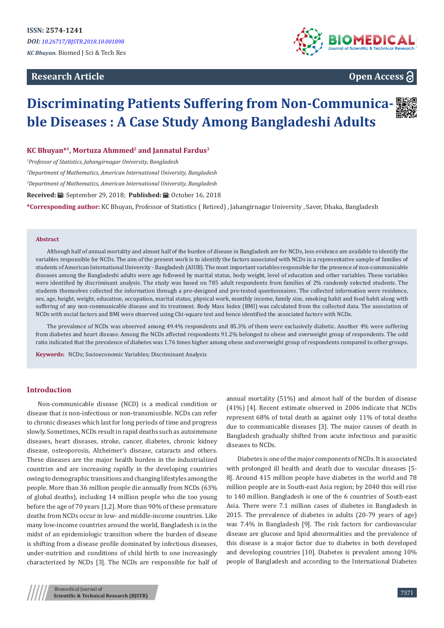# **Research Article**



# **Open Access**

# **Discriminating Patients Suffering from Non-Communicable Diseases : A Case Study Among Bangladeshi Adults**

**KC Bhuyan\*1, Mortuza Ahmmed2 and Jannatul Fardus<sup>3</sup>**

*1 Professor of Statistics, Jahangirnagar University, Bangladesh*

*2 Department of Mathematics, American International University, Bangladesh* 

*3 Department of Mathematics, American International University, Bangladesh* 

Received: *:* .: September 29, 2018; Published: .: Ctober 16, 2018

**\*Corresponding author:** KC Bhuyan, Professor of Statistics ( Retired) , Jahangirnagar University , Saver, Dhaka, Bangladesh

#### **Abstract**

Although half of annual mortality and almost half of the burden of disease in Bangladesh are for NCDs, less evidence are available to identify the variables responsible for NCDs. The aim of the present work is to identify the factors associated with NCDs in a representative sample of families of students of American International University - Bangladesh (AIUB). The most important variables responsible for the presence of non-communicable diseases among the Bangladeshi adults were age followed by marital status, body weight, level of education and other variables. These variables were identified by discriminant analysis. The study was based on 785 adult respondents from families of 2% randomly selected students. The students themselves collected the information through a pre-designed and pre-tested questionnaires. The collected information were residence, sex, age, height, weight, education, occupation, marital status, physical work, monthly income, family size, smoking habit and food habit along with suffering of any non-communicable disease and its treatment. Body Mass Index (BMI) was calculated from the collected data. The association of NCDs with social factors and BMI were observed using Chi-square test and hence identified the associated factors with NCDs.

The prevalence of NCDs was observed among 49.4% respondents and 85.3% of them were exclusively diabetic. Another 4% were suffering from diabetes and heart disease. Among the NCDs affected respondents 91.2% belonged to obese and overweight group of respondents. The odd ratio indicated that the prevalence of diabetes was 1.76 times higher among obese and overweight group of respondents compared to other groups.

**Keywords:** NCDs; Socioeconomic Variables; Discriminant Analysis

## **Introduction**

Non-communicable disease (NCD) is a medical condition or disease that is non-infectious or non-transmissible. NCDs can refer to chronic diseases which last for long periods of time and progress slowly. Sometimes, NCDs result in rapid deaths such as autoimmune diseases, heart diseases, stroke, cancer, diabetes, chronic kidney disease, osteoporosis, Alzheimer's disease, cataracts and others. These diseases are the major health burden in the industrialized countries and are increasing rapidly in the developing countries owing to demographic transitions and changing lifestyles among the people. More than 36 million people die annually from NCDs (63% of global deaths), including 14 million people who die too young before the age of 70 years [1,2]. More than 90% of these premature deaths from NCDs occur in low- and middle-income countries. Like many low-income countries around the world, Bangladesh is in the midst of an epidemiologic transition where the burden of disease is shifting from a disease profile dominated by infectious diseases, under-nutrition and conditions of child birth to one increasingly characterized by NCDs [3]. The NCDs are responsible for half of annual mortality (51%) and almost half of the burden of disease (41%) [4]. Recent estimate observed in 2006 indicate that NCDs represent 68% of total death as against only 11% of total deaths due to communicable diseases [3]. The major causes of death in Bangladesh gradually shifted from acute infectious and parasitic diseases to NCDs.

Diabetes is one of the major components of NCDs. It is associated with prolonged ill health and death due to vascular diseases [5- 8]. Around 415 million people have diabetes in the world and 78 million people are in South-east Asia region; by 2040 this will rise to 140 million. Bangladesh is one of the 6 countries of South-east Asia. There were 7.1 million cases of diabetes in Bangladesh in 2015. The prevalence of diabetes in adults (20-79 years of age) was 7.4% in Bangladesh [9]. The risk factors for cardiovascular disease are glucose and lipid abnormalities and the prevalence of this disease is a major factor due to diabetes in both developed and developing countries [10]. Diabetes is prevalent among 10% people of Bangladesh and according to the International Diabetes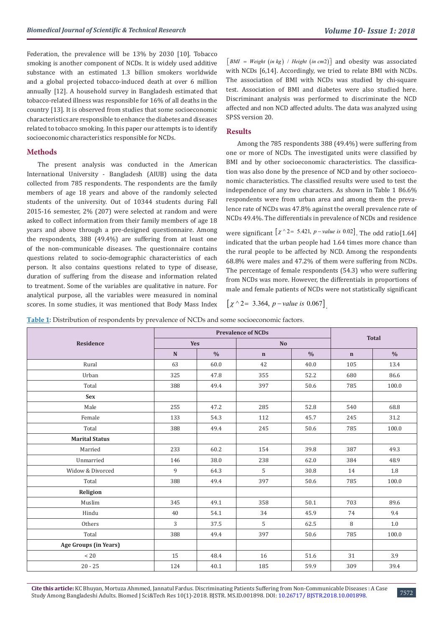Federation, the prevalence will be 13% by 2030 [10]. Tobacco smoking is another component of NCDs. It is widely used additive substance with an estimated 1.3 billion smokers worldwide and a global projected tobacco-induced death at over 6 million annually [12]. A household survey in Bangladesh estimated that tobacco-related illness was responsible for 16% of all deaths in the country [13]. It is observed from studies that some socioeconomic characteristics are responsible to enhance the diabetes and diseases related to tobacco smoking. In this paper our attempts is to identify socioeconomic characteristics responsible for NCDs.

## **Methods**

The present analysis was conducted in the American International University - Bangladesh (AIUB) using the data collected from 785 respondents. The respondents are the family members of age 18 years and above of the randomly selected students of the university. Out of 10344 students during Fall 2015-16 semester, 2% (207) were selected at random and were asked to collect information from their family members of age 18 years and above through a pre-designed questionnaire. Among the respondents, 388 (49.4%) are suffering from at least one of the non-communicable diseases. The questionnaire contains questions related to socio-demographic characteristics of each person. It also contains questions related to type of disease, duration of suffering from the disease and information related to treatment. Some of the variables are qualitative in nature. For analytical purpose, all the variables were measured in nominal scores. In some studies, it was mentioned that Body Mass Index  $\lceil BMI = Weight (in kg) / Height (in cm2) \rceil$  and obesity was associated with NCDs [6,14]. Accordingly, we tried to relate BMI with NCDs. The association of BMI with NCDs was studied by chi-square test. Association of BMI and diabetes were also studied here. Discriminant analysis was performed to discriminate the NCD affected and non NCD affected adults. The data was analyzed using SPSS version 20.

# **Results**

Among the 785 respondents 388 (49.4%) were suffering from one or more of NCDs. The investigated units were classified by BMI and by other socioeconomic characteristics. The classification was also done by the presence of NCD and by other socioeconomic characteristics. The classified results were used to test the independence of any two characters. As shown in Table 1 86.6% respondents were from urban area and among them the prevalence rate of NCDs was 47.8% against the overall prevalence rate of NCDs 49.4%. The differentials in prevalence of NCDs and residence

were significant  $[x^{\wedge}2 = 5.421, p-value \text{ is } 0.02]$ . The odd ratio[1.64] indicated that the urban people had 1.64 times more chance than the rural people to be affected by NCD. Among the respondents 68.8% were males and 47.2% of them were suffering from NCDs. The percentage of female respondents (54.3) who were suffering from NCDs was more. However, the differentials in proportions of male and female patients of NCDs were not statistically significant

$$
[\chi^2 - 3.364, p-value is 0.067]
$$

**Table 1:** Distribution of respondents by prevalence of NCDs and some socioeconomic factors.

| <b>Prevalence of NCDs</b> |               |             |               |              |               |
|---------------------------|---------------|-------------|---------------|--------------|---------------|
| <b>Yes</b>                |               | <b>No</b>   |               | <b>Total</b> |               |
| ${\bf N}$                 | $\frac{0}{0}$ | $\mathbf n$ | $\frac{0}{0}$ | $\mathbf n$  | $\frac{0}{0}$ |
| 63                        | 60.0          | 42          | 40.0          | 105          | 13.4          |
| 325                       | 47.8          | 355         | 52.2          | 680          | 86.6          |
| 388                       | 49.4          | 397         | 50.6          | 785          | 100.0         |
|                           |               |             |               |              |               |
| 255                       | 47.2          | 285         | 52.8          | 540          | 68.8          |
| 133                       | 54.3          | 112         | 45.7          | 245          | 31.2          |
| 388                       | 49.4          | 245         | 50.6          | 785          | 100.0         |
|                           |               |             |               |              |               |
| 233                       | 60.2          | 154         | 39.8          | 387          | 49.3          |
| 146                       | 38.0          | 238         | 62.0          | 384          | 48.9          |
| 9                         | 64.3          | 5           | 30.8          | 14           | 1.8           |
| 388                       | 49.4          | 397         | 50.6          | 785          | 100.0         |
|                           |               |             |               |              |               |
| 345                       | 49.1          | 358         | 50.1          | 703          | 89.6          |
| 40                        | 54.1          | 34          | 45.9          | 74           | 9.4           |
| 3                         | 37.5          | 5           | 62.5          | 8            | 1.0           |
| 388                       | 49.4          | 397         | 50.6          | 785          | 100.0         |
|                           |               |             |               |              |               |
| 15                        | 48.4          | 16          | 51.6          | 31           | 3.9           |
| 124                       | 40.1          | 185         | 59.9          | 309          | 39.4          |
|                           |               |             |               |              |               |

**Cite this article:** KC Bhuyan, Mortuza Ahmmed, Jannatul Fardus. Discriminating Patients Suffering from Non-Communicable Diseases : A Case Study Among Bangladeshi Adults. Biomed J Sci&Tech Res 10(1)-2018. BJSTR. MS.ID.001898. DOI: [10.26717/ BJSTR.2018.10.001898.](http://dx.doi.org/10.26717/BJSTR.2018.10.001898)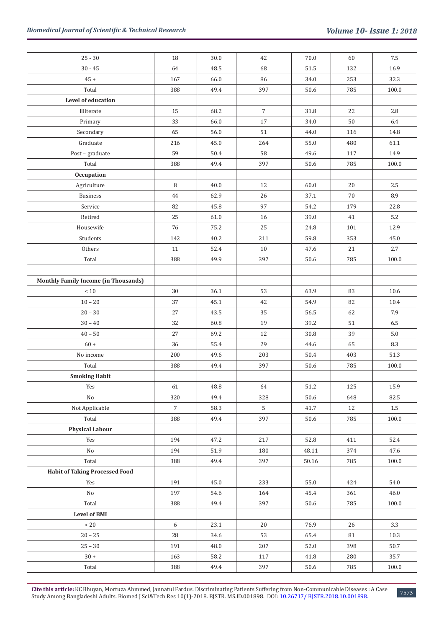| $25 - 30$                                   | 18             | 30.0       | 42             | 70.0     | 60  | $7.5\,$  |
|---------------------------------------------|----------------|------------|----------------|----------|-----|----------|
| $30 - 45$                                   | 64             | 48.5       | 68             | 51.5     | 132 | 16.9     |
| $45 +$                                      | 167            | 66.0       | 86             | 34.0     | 253 | 32.3     |
| Total                                       | 388            | 49.4       | 397            | 50.6     | 785 | 100.0    |
| Level of education                          |                |            |                |          |     |          |
| Illiterate                                  | 15             | 68.2       | $\overline{7}$ | 31.8     | 22  | 2.8      |
| Primary                                     | 33             | 66.0       | 17             | 34.0     | 50  | 6.4      |
| Secondary                                   | 65             | 56.0       | $51\,$         | 44.0     | 116 | $14.8\,$ |
| Graduate                                    | 216            | 45.0       | 264            | 55.0     | 480 | 61.1     |
| Post - graduate                             | 59             | 50.4       | 58             | 49.6     | 117 | 14.9     |
| Total                                       | 388            | 49.4       | 397            | 50.6     | 785 | 100.0    |
| Occupation                                  |                |            |                |          |     |          |
| Agriculture                                 | 8              | 40.0       | 12             | 60.0     | 20  | 2.5      |
| Business                                    | $44\,$         | 62.9       | $26\,$         | 37.1     | 70  | 8.9      |
| Service                                     | 82             | 45.8       | 97             | 54.2     | 179 | 22.8     |
| Retired                                     | 25             | $61.0\,$   | 16             | 39.0     | 41  | $5.2\,$  |
| Housewife                                   | 76             | 75.2       | 25             | 24.8     | 101 | 12.9     |
| Students                                    | 142            | 40.2       | $211\,$        | 59.8     | 353 | 45.0     |
| Others                                      | $11\,$         | 52.4       | 10             | 47.6     | 21  | 2.7      |
| Total                                       | 388            | 49.9       | 397            | 50.6     | 785 | 100.0    |
|                                             |                |            |                |          |     |          |
| <b>Monthly Family Income (in Thousands)</b> |                |            |                |          |     |          |
| $<10$                                       | 30             | 36.1       | 53             | 63.9     | 83  | 10.6     |
| $10 - 20$                                   | 37             | 45.1       | 42             | 54.9     | 82  | $10.4\,$ |
| $20 - 30$                                   | 27             | 43.5       | 35             | 56.5     | 62  | 7.9      |
| $30-40\,$                                   | 32             | 60.8       | 19             | 39.2     | 51  | 6.5      |
| $40 - 50$                                   | 27             | 69.2       | 12             | 30.8     | 39  | 5.0      |
| $60 +$                                      | 36             | 55.4       | 29             | 44.6     | 65  | 8.3      |
| No income                                   | 200            | 49.6       | 203            | $50.4\,$ | 403 | 51.3     |
| Total                                       | 388            | 49.4       | 397            | $50.6\,$ | 785 | 100.0    |
| <b>Smoking Habit</b>                        |                |            |                |          |     |          |
| Yes                                         | 61             | $\bf 48.8$ | 64             | $51.2\,$ | 125 | 15.9     |
| $\rm No$                                    | 320            | 49.4       | 328            | 50.6     | 648 | 82.5     |
| Not Applicable                              | $\overline{7}$ | 58.3       | $5\phantom{a}$ | 41.7     | 12  | $1.5\,$  |
| Total                                       | 388            | 49.4       | 397            | 50.6     | 785 | 100.0    |
| <b>Physical Labour</b>                      |                |            |                |          |     |          |
| Yes                                         | 194            | 47.2       | 217            | 52.8     | 411 | 52.4     |
| No                                          | 194            | 51.9       | 180            | 48.11    | 374 | 47.6     |
| Total                                       | 388            | 49.4       | 397            | 50.16    | 785 | 100.0    |
| <b>Habit of Taking Processed Food</b>       |                |            |                |          |     |          |
| Yes                                         | 191            | 45.0       | 233            | 55.0     | 424 | 54.0     |
| No                                          | 197            | 54.6       | 164            | 45.4     | 361 | 46.0     |
| Total                                       | 388            | 49.4       | 397            | 50.6     | 785 | 100.0    |
| <b>Level of BMI</b>                         |                |            |                |          |     |          |
| $\rm < 20$                                  | 6              | 23.1       | 20             | 76.9     | 26  | 3.3      |
| $20 - 25$                                   | 28             | 34.6       | 53             | 65.4     | 81  | 10.3     |
| $25 - 30$                                   | 191            | 48.0       | 207            | 52.0     | 398 | 50.7     |
| $30+$                                       | 163            | 58.2       | 117            | 41.8     | 280 | 35.7     |
| Total                                       | 388            | 49.4       | 397            | $50.6\,$ | 785 | 100.0    |

**Cite this article:** KC Bhuyan, Mortuza Ahmmed, Jannatul Fardus. Discriminating Patients Suffering from Non-Communicable Diseases : A Case Study Among Bangladeshi Adults. Biomed J Sci&Tech Res 10(1)-2018. BJSTR. MS.ID.001898. DOI: [10.26717/ BJSTR.2018.10.001898.](http://dx.doi.org/10.26717/BJSTR.2018.10.001898) <sup>7573</sup>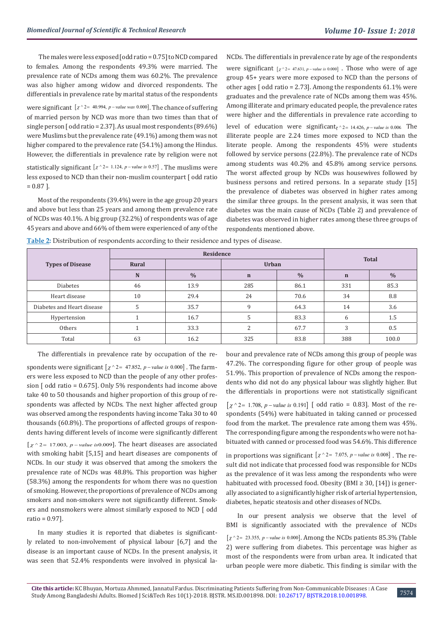The males were less exposed [odd ratio = 0.75] to NCD compared to females. Among the respondents 49.3% were married. The prevalence rate of NCDs among them was 60.2%. The prevalence was also higher among widow and divorced respondents. The differentials in prevalence rate by marital status of the respondents

were significant  $[x^2 = 40.994, p-value was 0.000]$ . The chance of suffering of married person by NCD was more than two times than that of single person [ odd ratio = 2.37]. As usual most respondents (89.6%) were Muslims but the prevalence rate (49.1%) among them was not higher compared to the prevalence rate (54.1%) among the Hindus. However, the differentials in prevalence rate by religion were not

statistically significant  $[x^2 - 1.124, p-value \text{ is } 0.57]$ . The muslims were less exposed to NCD than their non-muslim counterpart [ odd ratio  $= 0.87$ ].

Most of the respondents (39.4%) were in the age group 20 years and above but less than 25 years and among them prevalence rate of NCDs was 40.1%. A big group (32.2%) of respondents was of age 45 years and above and 66% of them were experienced of any of the NCDs. The differentials in prevalence rate by age of the respondents were significant  $\left[\chi \right]_{2} = 47.631$ , p-value is 0.000] . Those who were of age group 45+ years were more exposed to NCD than the persons of other ages  $\lceil$  odd ratio = 2.73]. Among the respondents 61.1% were graduates and the prevalence rate of NCDs among them was 45%. Among illiterate and primary educated people, the prevalence rates were higher and the differentials in prevalence rate according to level of education were significant<sub> $\chi$ </sub>  $\gamma$ <sub>2</sub> 14.426, p-value is 0.006. The illiterate people are 2.24 times more exposed to NCD than the literate people. Among the respondents 45% were students followed by service persons (22.8%). The prevalence rate of NCDs among students was 40.2% and 45.8% among service persons. The worst affected group by NCDs was housewives followed by business persons and retired persons. In a separate study [15] the prevalence of diabetes was observed in higher rates among the similar three groups. In the present analysis, it was seen that diabetes was the main cause of NCDs (Table 2) and prevalence of diabetes was observed in higher rates among these three groups of respondents mentioned above.

**Table 2:** Distribution of respondents according to their residence and types of disease.

|                            |       | <b>Total</b>  |              |               |             |               |  |
|----------------------------|-------|---------------|--------------|---------------|-------------|---------------|--|
| <b>Types of Disease</b>    | Rural |               | <b>Urban</b> |               |             |               |  |
|                            | N     | $\frac{0}{0}$ | $\mathbf n$  | $\frac{0}{0}$ | $\mathbf n$ | $\frac{0}{0}$ |  |
| <b>Diabetes</b>            | 46    | 13.9          | 285          | 86.1          | 331         | 85.3          |  |
| Heart disease              | 10    | 29.4          | 24           | 70.6          | 34          | 8.8           |  |
| Diabetes and Heart disease |       | 35.7          | 9            | 64.3          | 14          | 3.6           |  |
| Hypertension               |       | 16.7          | 5            | 83.3          | 6           | 1.5           |  |
| Others                     |       | 33.3          | C            | 67.7          | 3           | 0.5           |  |
| Total                      | 63    | 16.2          | 325          | 83.8          | 388         | 100.0         |  |

The differentials in prevalence rate by occupation of the re-

spondents were significant  $\left[\chi \right]$   $\sim$  2 = 47.852, p – *value is* 0.000  $\right]$ . The farmers were less exposed to NCD than the people of any other profession [ odd ratio = 0.675]. Only 5% respondents had income above take 40 to 50 thousands and higher proportion of this group of respondents was affected by NCDs. The next higher affected group was observed among the respondents having income Taka 30 to 40 thousands (60.8%). The proportions of affected groups of respondents having different levels of income were significantly different  $[x^{\wedge}2 = 17.003, p-value$  *is* 0.009]. The heart diseases are associated with smoking habit [5,15] and heart diseases are components of NCDs. In our study it was observed that among the smokers the prevalence rate of NCDs was 48.8%. This proportion was higher (58.3%) among the respondents for whom there was no question of smoking. However, the proportions of prevalence of NCDs among smokers and non-smokers were not significantly different. Smokers and nonsmokers were almost similarly exposed to NCD [ odd ratio = 0.97].

In many studies it is reported that diabetes is significantly related to non-involvement of physical labour [6,7] and the disease is an important cause of NCDs. In the present analysis, it was seen that 52.4% respondents were involved in physical labour and prevalence rate of NCDs among this group of people was 47.2%. The corresponding figure for other group of people was 51.9%. This proportion of prevalence of NCDs among the respondents who did not do any physical labour was slightly higher. But the differentials in proportions were not statistically significant

 $[y^{\wedge}2 = 1.708, p-value is 0.191]$  [ odd ratio = 0.83]. Most of the respondents (54%) were habituated in taking canned or processed food from the market. The prevalence rate among them was 45%. The corresponding figure among the respondents who were not habituated with canned or processed food was 54.6%. This difference

in proportions was significant  $[x^2 - 7.075, p-value \text{ is } 0.008]$ . The result did not indicate that processed food was responsible for NCDs as the prevalence of it was less among the respondents who were habituated with processed food. Obesity (BMI  $\geq$  30, [14]) is generally associated to a significantly higher risk of arterial hypertension, diabetes, hepatic steatosis and other diseases of NCDs.

In our present analysis we observe that the level of BMI is significantly associated with the prevalence of NCDs  $\left[\chi^2 = 23.355, p-value \text{ is } 0.000\right]$ . Among the NCDs patients 85.3% (Table 2) were suffering from diabetes. This percentage was higher as most of the respondents were from urban area. It indicated that urban people were more diabetic. This finding is similar with the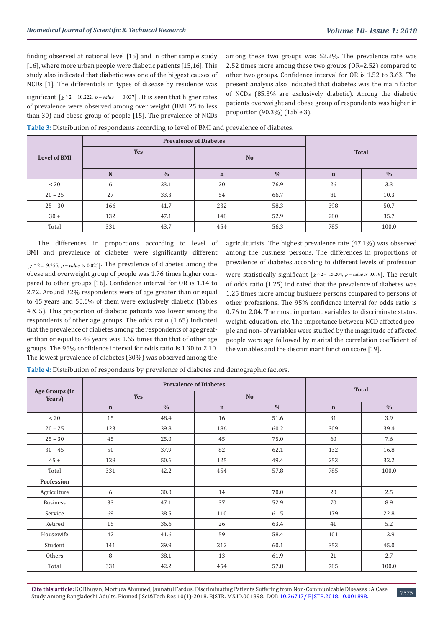finding observed at national level [15] and in other sample study [16], where more urban people were diabetic patients [15,16]. This study also indicated that diabetic was one of the biggest causes of NCDs [1]. The differentials in types of disease by residence was

significant  $[\chi^2 = 10.222, p-value = 0.037]$ . It is seen that higher rates of prevalence were observed among over weight (BMI 25 to less than 30) and obese group of people [15]. The prevalence of NCDs among these two groups was 52.2%. The prevalence rate was 2.52 times more among these two groups (OR=2.52) compared to other two groups. Confidence interval for OR is 1.52 to 3.63. The present analysis also indicated that diabetes was the main factor of NCDs (85.3% are exclusively diabetic). Among the diabetic patients overweight and obese group of respondents was higher in proportion (90.3%) (Table 3).

**Table 3:** Distribution of respondents according to level of BMI and prevalence of diabetes.

|                     |            | <b>Prevalence of Diabetes</b> |             |               |              |               |
|---------------------|------------|-------------------------------|-------------|---------------|--------------|---------------|
| <b>Level of BMI</b> | <b>Yes</b> |                               | <b>No</b>   |               | <b>Total</b> |               |
|                     | ${\bf N}$  | $\frac{0}{0}$                 | $\mathbf n$ | $\frac{0}{0}$ | $\mathbf n$  | $\frac{0}{0}$ |
| $~<$ 20             | 6          | 23.1                          | 20          | 76.9          | 26           | 3.3           |
| $20 - 25$           | 27         | 33.3                          | 54          | 66.7          | 81           | 10.3          |
| $25 - 30$           | 166        | 41.7                          | 232         | 58.3          | 398          | 50.7          |
| $30 +$              | 132        | 47.1                          | 148         | 52.9          | 280          | 35.7          |
| Total               | 331        | 43.7                          | 454         | 56.3          | 785          | 100.0         |

The differences in proportions according to level of BMI and prevalence of diabetes were significantly different  $[\chi^2] = 9.355$ , *p* – *value is* 0.025]. The prevalence of diabetes among the obese and overweight group of people was 1.76 times higher compared to other groups [16]. Confidence interval for OR is 1.14 to 2.72. Around 32% respondents were of age greater than or equal to 45 years and 50.6% of them were exclusively diabetic (Tables 4 & 5). This proportion of diabetic patients was lower among the respondents of other age groups. The odds ratio (1.65) indicated that the prevalence of diabetes among the respondents of age greater than or equal to 45 years was 1.65 times than that of other age groups. The 95% confidence interval for odds ratio is 1.30 to 2.10. The lowest prevalence of diabetes (30%) was observed among the

agriculturists. The highest prevalence rate (47.1%) was observed among the business persons. The differences in proportions of prevalence of diabetes according to different levels of profession

were statistically significant  $[x^2 - 15.204, p - value \text{ is } 0.019]$ . The result of odds ratio (1.25) indicated that the prevalence of diabetes was 1.25 times more among business persons compared to persons of other professions. The 95% confidence interval for odds ratio is 0.76 to 2.04. The most important variables to discriminate status, weight, education, etc. The importance between NCD affected people and non- of variables were studied by the magnitude of affected people were age followed by marital the correlation coefficient of the variables and the discriminant function score [19].

**Table 4:** Distribution of respondents by prevalence of diabetes and demographic factors.

|                          | <b>Prevalence of Diabetes</b> |               |             |               | <b>Total</b> |               |  |
|--------------------------|-------------------------------|---------------|-------------|---------------|--------------|---------------|--|
| Age Groups (in<br>Years) | <b>Yes</b>                    |               |             | <b>No</b>     |              |               |  |
|                          | $\mathbf n$                   | $\frac{0}{0}$ | $\mathbf n$ | $\frac{0}{0}$ | $\mathbf n$  | $\frac{0}{0}$ |  |
| $~<$ 20                  | 15                            | 48.4          | 16          | 51.6          | 31           | 3.9           |  |
| $20 - 25$                | 123                           | 39.8          | 186         | 60.2          | 309          | 39.4          |  |
| $25 - 30$                | 45                            | 25.0          | 45          | 75.0          | 60           | 7.6           |  |
| $30 - 45$                | 50                            | 37.9          | 82          | 62.1          | 132          | 16.8          |  |
| $45 +$                   | 128                           | 50.6          | 125         | 49.4          | 253          | 32.2          |  |
| Total                    | 331                           | 42.2          | 454         | 57.8          | 785          | 100.0         |  |
| Profession               |                               |               |             |               |              |               |  |
| Agriculture              | 6                             | 30.0          | 14          | 70.0          | 20           | 2.5           |  |
| <b>Business</b>          | 33                            | 47.1          | 37          | 52.9          | 70           | 8.9           |  |
| Service                  | 69                            | 38.5          | 110         | 61.5          | 179          | 22.8          |  |
| Retired                  | 15                            | 36.6          | 26          | 63.4          | 41           | 5.2           |  |
| Housewife                | 42                            | 41.6          | 59          | 58.4          | 101          | 12.9          |  |
| Student                  | 141                           | 39.9          | 212         | 60.1          | 353          | 45.0          |  |
| Others                   | 8                             | 38.1          | 13          | 61.9          | 21           | 2.7           |  |
| Total                    | 331                           | 42.2          | 454         | 57.8          | 785          | 100.0         |  |

**Cite this article:** KC Bhuyan, Mortuza Ahmmed, Jannatul Fardus. Discriminating Patients Suffering from Non-Communicable Diseases : A Case Study Among Bangladeshi Adults. Biomed J Sci&Tech Res 10(1)-2018. BJSTR. MS.ID.001898. DOI: [10.26717/ BJSTR.2018.10.001898.](http://dx.doi.org/10.26717/BJSTR.2018.10.001898) <sup>7575</sup>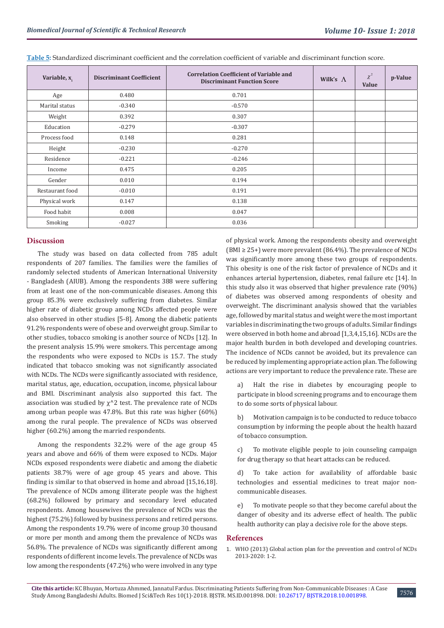| Variable, x.    | <b>Discriminant Coefficient</b> | <b>Correlation Coefficient of Variable and</b><br><b>Discriminant Function Score</b> | Wilk's $\Lambda$ | $\chi^2$<br>Value | p-Value |
|-----------------|---------------------------------|--------------------------------------------------------------------------------------|------------------|-------------------|---------|
| Age             | 0.480                           | 0.701                                                                                |                  |                   |         |
| Marital status  | $-0.340$                        | $-0.570$                                                                             |                  |                   |         |
| Weight          | 0.392                           | 0.307                                                                                |                  |                   |         |
| Education       | $-0.279$                        | $-0.307$                                                                             |                  |                   |         |
| Process food    | 0.148                           | 0.281                                                                                |                  |                   |         |
| Height          | $-0.230$                        | $-0.270$                                                                             |                  |                   |         |
| Residence       | $-0.221$                        | $-0.246$                                                                             |                  |                   |         |
| Income          | 0.475                           | 0.205                                                                                |                  |                   |         |
| Gender          | 0.010                           | 0.194                                                                                |                  |                   |         |
| Restaurant food | $-0.010$                        | 0.191                                                                                |                  |                   |         |
| Physical work   | 0.147                           | 0.138                                                                                |                  |                   |         |
| Food habit      | 0.008                           | 0.047                                                                                |                  |                   |         |
| Smoking         | $-0.027$                        | 0.036                                                                                |                  |                   |         |

**Table 5:** Standardized discriminant coefficient and the correlation coefficient of variable and discriminant function score.

# **Discussion**

The study was based on data collected from 785 adult respondents of 207 families. The families were the families of randomly selected students of American International University - Bangladesh (AIUB). Among the respondents 388 were suffering from at least one of the non-communicable diseases. Among this group 85.3% were exclusively suffering from diabetes. Similar higher rate of diabetic group among NCDs affected people were also observed in other studies [5-8]. Among the diabetic patients 91.2% respondents were of obese and overweight group. Similar to other studies, tobacco smoking is another source of NCDs [12]. In the present analysis 15.9% were smokers. This percentage among the respondents who were exposed to NCDs is 15.7. The study indicated that tobacco smoking was not significantly associated with NCDs. The NCDs were significantly associated with residence, marital status, age, education, occupation, income, physical labour and BMI. Discriminant analysis also supported this fact. The association was studied by  $\chi$ <sup>^2</sup> test. The prevalence rate of NCDs among urban people was 47.8%. But this rate was higher (60%) among the rural people. The prevalence of NCDs was observed higher (60.2%) among the married respondents.

Among the respondents 32.2% were of the age group 45 years and above and 66% of them were exposed to NCDs. Major NCDs exposed respondents were diabetic and among the diabetic patients 38.7% were of age group 45 years and above. This finding is similar to that observed in home and abroad [15,16,18]. The prevalence of NCDs among illiterate people was the highest (68.2%) followed by primary and secondary level educated respondents. Among housewives the prevalence of NCDs was the highest (75.2%) followed by business persons and retired persons. Among the respondents 19.7% were of income group 30 thousand or more per month and among them the prevalence of NCDs was 56.8%. The prevalence of NCDs was significantly different among respondents of different income levels. The prevalence of NCDs was low among the respondents (47.2%) who were involved in any type

of physical work. Among the respondents obesity and overweight (BMI  $\geq$  25+) were more prevalent (86.4%). The prevalence of NCDs was significantly more among these two groups of respondents. This obesity is one of the risk factor of prevalence of NCDs and it enhances arterial hypertension, diabetes, renal failure etc [14]. In this study also it was observed that higher prevalence rate (90%) of diabetes was observed among respondents of obesity and overweight. The discriminant analysis showed that the variables age, followed by marital status and weight were the most important variables in discriminating the two groups of adults. Similar findings were observed in both home and abroad [1,3,4,15,16]. NCDs are the major health burden in both developed and developing countries. The incidence of NCDs cannot be avoided, but its prevalence can be reduced by implementing appropriate action plan. The following actions are very important to reduce the prevalence rate. These are

a) Halt the rise in diabetes by encouraging people to participate in blood screening programs and to encourage them to do some sorts of physical labour.

b) Motivation campaign is to be conducted to reduce tobacco consumption by informing the people about the health hazard of tobacco consumption.

c) To motivate eligible people to join counseling campaign for drug therapy so that heart attacks can be reduced.

d) To take action for availability of affordable basic technologies and essential medicines to treat major noncommunicable diseases.

e) To motivate people so that they become careful about the danger of obesity and its adverse effect of health. The public health authority can play a decisive role for the above steps.

## **References**

1. [WHO \(2013\) Global action plan for the prevention and control of NCDs](https://www.who.int/nmh/events/ncd_action_plan/en/) [2013-2020: 1-2](https://www.who.int/nmh/events/ncd_action_plan/en/).